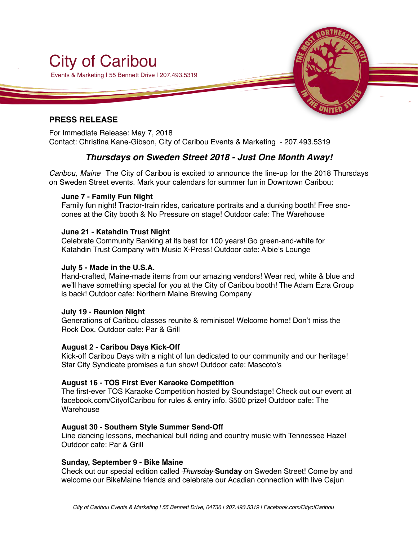

#### **PRESS RELEASE**

For Immediate Release: May 7, 2018 Contact: Christina Kane-Gibson, City of Caribou Events & Marketing - 207.493.5319

### *Thursdays on Sweden Street 2018 - Just One Month Away!*

*Caribou, Maine* The City of Caribou is excited to announce the line-up for the 2018 Thursdays on Sweden Street events. Mark your calendars for summer fun in Downtown Caribou:

#### **June 7 - Family Fun Night**

Family fun night! Tractor-train rides, caricature portraits and a dunking booth! Free snocones at the City booth & No Pressure on stage! Outdoor cafe: The Warehouse

#### **June 21 - Katahdin Trust Night**

Celebrate Community Banking at its best for 100 years! Go green-and-white for Katahdin Trust Company with Music X-Press! Outdoor cafe: Albie's Lounge

#### **July 5 - Made in the U.S.A.**

Hand-crafted, Maine-made items from our amazing vendors! Wear red, white & blue and we'll have something special for you at the City of Caribou booth! The Adam Ezra Group is back! Outdoor cafe: Northern Maine Brewing Company

#### **July 19 - Reunion Night**

Generations of Caribou classes reunite & reminisce! Welcome home! Don't miss the Rock Dox. Outdoor cafe: Par & Grill

#### **August 2 - Caribou Days Kick-Off**

Kick-off Caribou Days with a night of fun dedicated to our community and our heritage! Star City Syndicate promises a fun show! Outdoor cafe: Mascoto's

#### **August 16 - TOS First Ever Karaoke Competition**

The first-ever TOS Karaoke Competition hosted by Soundstage! Check out our event at facebook.com/CityofCaribou for rules & entry info. \$500 prize! Outdoor cafe: The **Warehouse** 

#### **August 30 - Southern Style Summer Send-Off**

Line dancing lessons, mechanical bull riding and country music with Tennessee Haze! Outdoor cafe: Par & Grill

#### **Sunday, September 9 - Bike Maine**

Check out our special edition called *Thursday* **Sunday** on Sweden Street! Come by and welcome our BikeMaine friends and celebrate our Acadian connection with live Cajun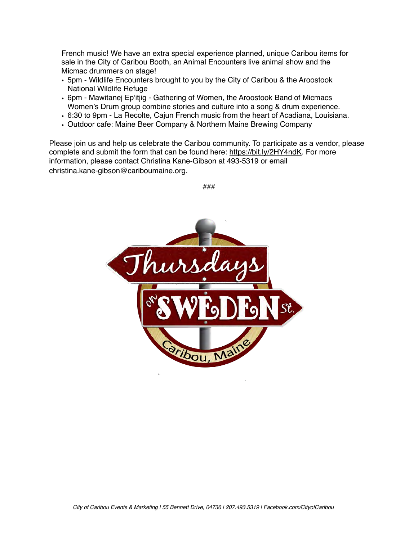French music! We have an extra special experience planned, unique Caribou items for sale in the City of Caribou Booth, an Animal Encounters live animal show and the Micmac drummers on stage!

- 5pm Wildlife Encounters brought to you by the City of Caribou & the Aroostook National Wildlife Refuge
- 6pm Mawitanej Ep'itjig Gathering of Women, the Aroostook Band of Micmacs Women's Drum group combine stories and culture into a song & drum experience.
- 6:30 to 9pm La Recolte, Cajun French music from the heart of Acadiana, Louisiana.
- Outdoor cafe: Maine Beer Company & Northern Maine Brewing Company

Please join us and help us celebrate the Caribou community. To participate as a vendor, please complete and submit the form that can be found here: [https://bit.ly/2HY4ndK.](https://bit.ly/2HY4ndK) For more information, please contact Christina Kane-Gibson at 493-5319 or email christina.kane-gibson@cariboumaine.org.